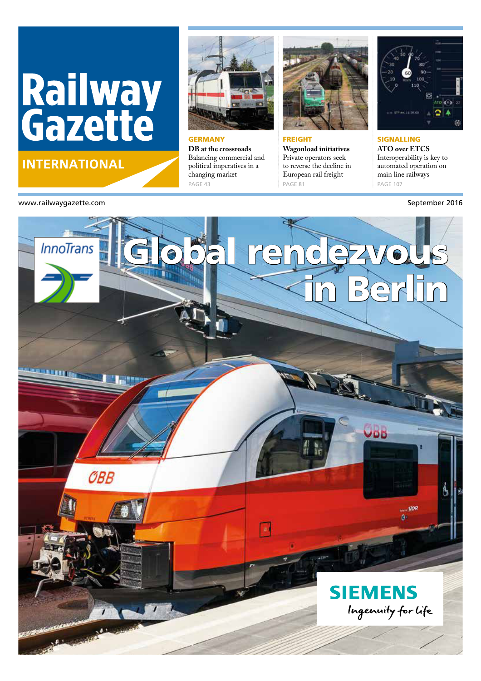# Railway<br>Gazette

### **INTERNATIONAL**



**GERMANY DB at the crossroads** Balancing commercial and political imperatives in a changing market PAGE 43



#### **FREIGHT**

**Wagonload initiatives** Private operators seek to reverse the decline in European rail freight PAGE 81



SIGNALLING **ATO over ETCS** Interoperability is key to automated operation on main line railways PAGE 107

#### www.railwaygazette.com and the separate of the separate of the separate of the September 2016

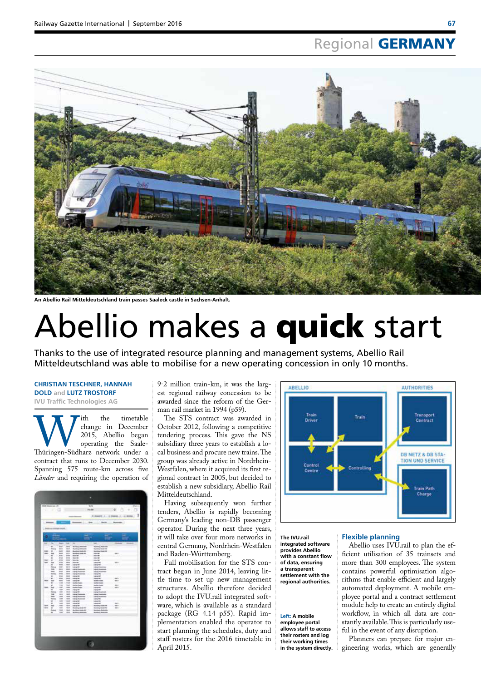# Regional **GERMANY**



**An Abellio Rail Mitteldeutschland train passes Saaleck castle in Sachsen-Anhalt.**

# Abellio makes a quick start

Thanks to the use of integrated resource planning and management systems, Abellio Rail Mitteldeutschland was able to mobilise for a new operating concession in only 10 months.

#### **CHRISTIAN TESCHNER, HANNAH DOLD and LUTZ TROSTORF IVU Traffic Technologies AG**

With the timetable<br>
2015, Abellio began<br>
Thüringen-Südharz network under a ith the timetable change in December 2015, Abellio began operating the Saale contract that runs to December 2030. Spanning 575 route-km across five *Länder* and requiring the operation of



9·2 million train-km, it was the largest regional railway concession to be awarded since the reform of the German rail market in 1994 (p59).

The STS contract was awarded in October 2012, following a competitive tendering process. This gave the NS subsidiary three years to establish a local business and procure new trains. The group was already active in Nordrhein-Westfalen, where it acquired its first regional contract in 2005, but decided to establish a new subsidiary, Abellio Rail Mitteldeutschland.

Having subsequently won further tenders, Abellio is rapidly becoming Germany's leading non-DB passenger operator. During the next three years, it will take over four more networks in central Germany, Nordrhein-Westfalen and Baden-Württemberg.

Full mobilisation for the STS contract began in June 2014, leaving little time to set up new management structures. Abellio therefore decided to adopt the IVU.rail integrated software, which is available as a standard package (RG 4.14 p55). Rapid implementation enabled the operator to start planning the schedules, duty and staff rosters for the 2016 timetable in April 2015.



**The IVU.rail integrated software provides Abellio with a constant flow of data, ensuring a transparent settlement with the regional authorities.** 

**Left: A mobile employee portal allows staff to access their rosters and log their working times in the system directly.**

#### **Flexible planning**

Abellio uses IVU.rail to plan the ef ficient utilisation of 35 trainsets and more than 300 employees. The system contains powerful optimisation algorithms that enable efficient and largely automated deployment. A mobile employee portal and a contract settlement module help to create an entirely digital workflow, in which all data are constantly available. This is particularly useful in the event of any disruption.

Planners can prepare for major engineering works, which are generally